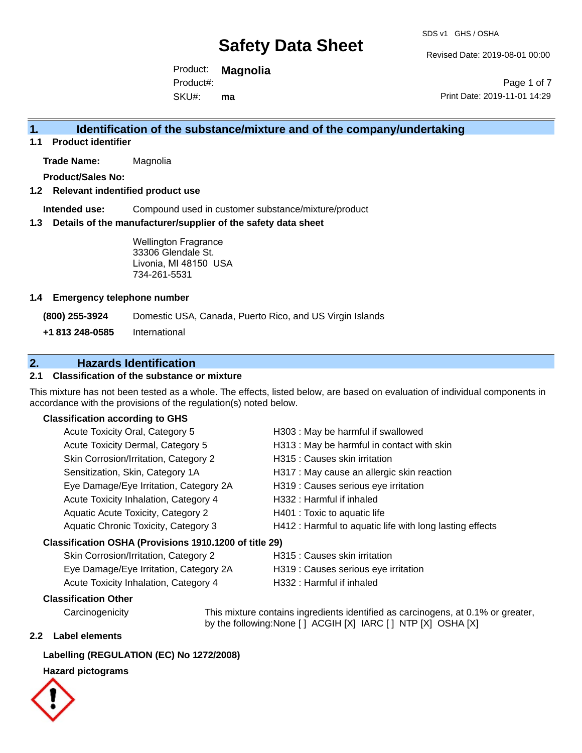Revised Date: 2019-08-01 00:00

Product: **Magnolia** SKU#: Product#: **ma**

Page 1 of 7 Print Date: 2019-11-01 14:29

### **1. Identification of the substance/mixture and of the company/undertaking**

**1.1 Product identifier**

**Trade Name:** Magnolia

**Product/Sales No:**

#### **1.2 Relevant indentified product use**

**Intended use:** Compound used in customer substance/mixture/product

#### **1.3 Details of the manufacturer/supplier of the safety data sheet**

Wellington Fragrance 33306 Glendale St. Livonia, MI 48150 USA 734-261-5531

#### **1.4 Emergency telephone number**

**(800) 255-3924** Domestic USA, Canada, Puerto Rico, and US Virgin Islands

**+1 813 248-0585** International

### **2. Hazards Identification**

#### **2.1 Classification of the substance or mixture**

This mixture has not been tested as a whole. The effects, listed below, are based on evaluation of individual components in accordance with the provisions of the regulation(s) noted below.

#### **Classification according to GHS**

| Acute Toxicity Oral, Category 5                        | H303 : May be harmful if swallowed                       |
|--------------------------------------------------------|----------------------------------------------------------|
| Acute Toxicity Dermal, Category 5                      | H313 : May be harmful in contact with skin               |
| Skin Corrosion/Irritation, Category 2                  | H315 : Causes skin irritation                            |
| Sensitization, Skin, Category 1A                       | H317 : May cause an allergic skin reaction               |
| Eye Damage/Eye Irritation, Category 2A                 | H319 : Causes serious eye irritation                     |
| Acute Toxicity Inhalation, Category 4                  | H332: Harmful if inhaled                                 |
| Aquatic Acute Toxicity, Category 2                     | H401 : Toxic to aquatic life                             |
| Aquatic Chronic Toxicity, Category 3                   | H412 : Harmful to aquatic life with long lasting effects |
| Classification OSHA (Provisions 1910.1200 of title 29) |                                                          |
| Skin Corrosion/Irritation Category 2                   | $H315 \cdot \text{C}$ quege ekin irritation              |

| <b>UNIT COLLOSIOLI/ILLIGHOLI, Category 2</b> | <b>INDIDE CAUSES SKILL ILLIGITUM</b> |
|----------------------------------------------|--------------------------------------|
| Eye Damage/Eye Irritation, Category 2A       | H319 : Causes serious eye irritation |
| Acute Toxicity Inhalation, Category 4        | H332 : Harmful if inhaled            |

#### **Classification Other**

Carcinogenicity This mixture contains ingredients identified as carcinogens, at 0.1% or greater, by the following:None [ ] ACGIH [X] IARC [ ] NTP [X] OSHA [X]

#### **2.2 Label elements**

#### **Labelling (REGULATION (EC) No 1272/2008)**

#### **Hazard pictograms**

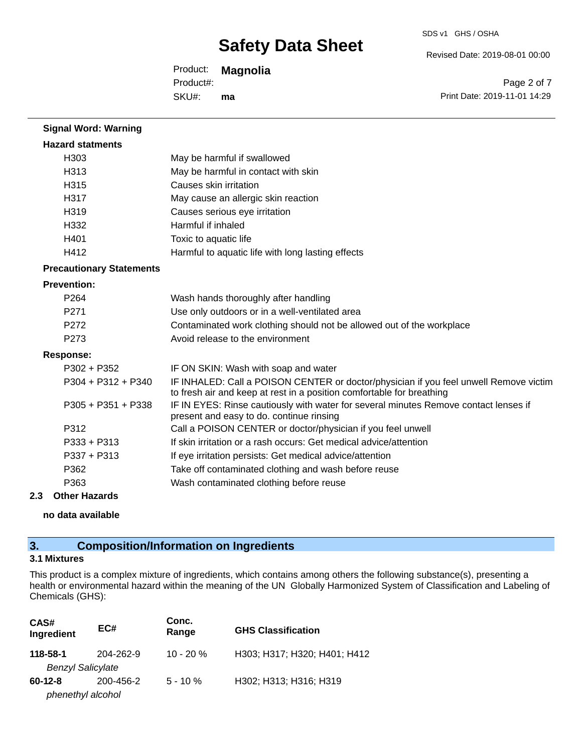Revised Date: 2019-08-01 00:00

Product: **Magnolia** SKU#: Product#: **ma**

Page 2 of 7 Print Date: 2019-11-01 14:29

| <b>Signal Word: Warning</b>     |                                                                                                                                                                |
|---------------------------------|----------------------------------------------------------------------------------------------------------------------------------------------------------------|
| <b>Hazard statments</b>         |                                                                                                                                                                |
| H303                            | May be harmful if swallowed                                                                                                                                    |
| H313                            | May be harmful in contact with skin                                                                                                                            |
| H315                            | Causes skin irritation                                                                                                                                         |
| H317                            | May cause an allergic skin reaction                                                                                                                            |
| H319                            | Causes serious eye irritation                                                                                                                                  |
| H332                            | Harmful if inhaled                                                                                                                                             |
| H401                            | Toxic to aquatic life                                                                                                                                          |
| H412                            | Harmful to aquatic life with long lasting effects                                                                                                              |
| <b>Precautionary Statements</b> |                                                                                                                                                                |
| <b>Prevention:</b>              |                                                                                                                                                                |
| P264                            | Wash hands thoroughly after handling                                                                                                                           |
| P271                            | Use only outdoors or in a well-ventilated area                                                                                                                 |
| P <sub>272</sub>                | Contaminated work clothing should not be allowed out of the workplace                                                                                          |
| P273                            | Avoid release to the environment                                                                                                                               |
| <b>Response:</b>                |                                                                                                                                                                |
| $P302 + P352$                   | IF ON SKIN: Wash with soap and water                                                                                                                           |
| $P304 + P312 + P340$            | IF INHALED: Call a POISON CENTER or doctor/physician if you feel unwell Remove victim<br>to fresh air and keep at rest in a position comfortable for breathing |
| $P305 + P351 + P338$            | IF IN EYES: Rinse cautiously with water for several minutes Remove contact lenses if<br>present and easy to do. continue rinsing                               |
| P312                            | Call a POISON CENTER or doctor/physician if you feel unwell                                                                                                    |
| P333 + P313                     | If skin irritation or a rash occurs: Get medical advice/attention                                                                                              |
| $P337 + P313$                   | If eye irritation persists: Get medical advice/attention                                                                                                       |
| P362                            | Take off contaminated clothing and wash before reuse                                                                                                           |
| P363                            | Wash contaminated clothing before reuse                                                                                                                        |
|                                 |                                                                                                                                                                |

# **2.3 Other Hazards**

**no data available**

## **3. Composition/Information on Ingredients**

#### **3.1 Mixtures**

This product is a complex mixture of ingredients, which contains among others the following substance(s), presenting a health or environmental hazard within the meaning of the UN Globally Harmonized System of Classification and Labeling of Chemicals (GHS):

| CAS#<br>Ingredient                   | EC#       | Conc.<br>Range | <b>GHS Classification</b>    |
|--------------------------------------|-----------|----------------|------------------------------|
| 118-58-1<br><b>Benzyl Salicylate</b> | 204-262-9 | $10 - 20 \%$   | H303; H317; H320; H401; H412 |
| $60-12-8$<br>phenethyl alcohol       | 200-456-2 | $5 - 10 \%$    | H302; H313; H316; H319       |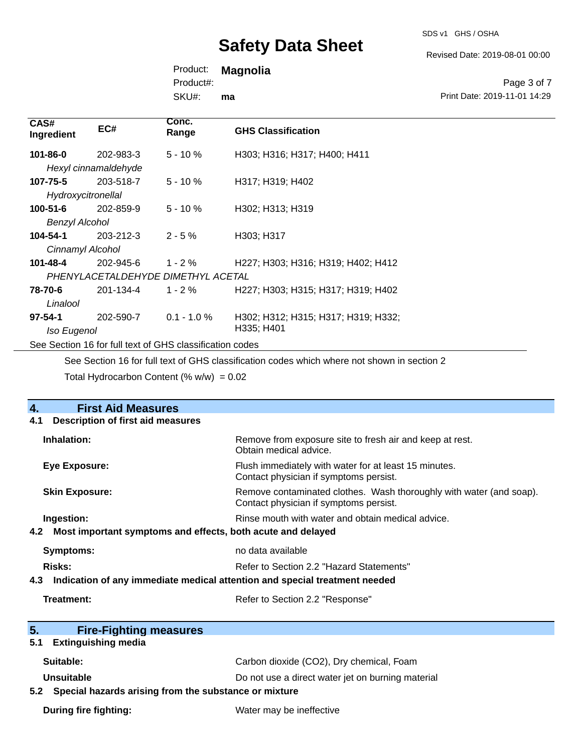SDS v1 GHS / OSHA

Revised Date: 2019-08-01 00:00

Print Date: 2019-11-01 14:29

Page 3 of 7

Product: **Magnolia**

Product#:

SKU#: **ma**

| CAS#<br>Ingredient                                       | EC#                  | Conc.<br>Range                     | <b>GHS Classification</b>           |
|----------------------------------------------------------|----------------------|------------------------------------|-------------------------------------|
| 101-86-0                                                 | 202-983-3            | $5 - 10%$                          | H303; H316; H317; H400; H411        |
|                                                          | Hexyl cinnamaldehyde |                                    |                                     |
| $107 - 75 - 5$                                           | 203-518-7            | $5 - 10 \%$                        | H317; H319; H402                    |
| Hydroxycitronellal                                       |                      |                                    |                                     |
| $100 - 51 - 6$                                           | 202-859-9            | $5 - 10 \%$                        | H302; H313; H319                    |
| <b>Benzyl Alcohol</b>                                    |                      |                                    |                                     |
| $104 - 54 - 1$                                           | 203-212-3            | $2 - 5%$                           | H303; H317                          |
| Cinnamyl Alcohol                                         |                      |                                    |                                     |
| $101 - 48 - 4$                                           | 202-945-6            | $1 - 2 \%$                         | H227; H303; H316; H319; H402; H412  |
|                                                          |                      | PHENYLACETALDEHYDE DIMETHYL ACETAL |                                     |
| 78-70-6                                                  | 201-134-4            | $1 - 2 \%$                         | H227; H303; H315; H317; H319; H402  |
| Linalool                                                 |                      |                                    |                                     |
| $97 - 54 - 1$                                            | 202-590-7            | $0.1 - 1.0 \%$                     | H302; H312; H315; H317; H319; H332; |
| Iso Eugenol                                              |                      |                                    | H335; H401                          |
| See Section 16 for full text of GHS classification codes |                      |                                    |                                     |
|                                                          |                      |                                    |                                     |

See Section 16 for full text of GHS classification codes which where not shown in section 2 Total Hydrocarbon Content  $(\% w/w) = 0.02$ 

| $\overline{4}$ .<br><b>First Aid Measures</b>                                     |                                                                                                               |  |
|-----------------------------------------------------------------------------------|---------------------------------------------------------------------------------------------------------------|--|
| <b>Description of first aid measures</b><br>4.1                                   |                                                                                                               |  |
| Inhalation:                                                                       | Remove from exposure site to fresh air and keep at rest.<br>Obtain medical advice.                            |  |
| <b>Eye Exposure:</b>                                                              | Flush immediately with water for at least 15 minutes.<br>Contact physician if symptoms persist.               |  |
| <b>Skin Exposure:</b>                                                             | Remove contaminated clothes. Wash thoroughly with water (and soap).<br>Contact physician if symptoms persist. |  |
| Ingestion:                                                                        | Rinse mouth with water and obtain medical advice.                                                             |  |
| Most important symptoms and effects, both acute and delayed<br>4.2                |                                                                                                               |  |
| <b>Symptoms:</b>                                                                  | no data available                                                                                             |  |
| Risks:                                                                            | Refer to Section 2.2 "Hazard Statements"                                                                      |  |
| Indication of any immediate medical attention and special treatment needed<br>4.3 |                                                                                                               |  |
| Treatment:                                                                        | Refer to Section 2.2 "Response"                                                                               |  |
| 5.<br><b>Fire-Fighting measures</b>                                               |                                                                                                               |  |
| <b>Extinguishing media</b><br>5.1                                                 |                                                                                                               |  |
| Suitable:                                                                         | Carbon dioxide (CO2), Dry chemical, Foam                                                                      |  |
| <b>Unsuitable</b>                                                                 | Do not use a direct water jet on burning material                                                             |  |
| Special hazards arising from the substance or mixture<br>5.2                      |                                                                                                               |  |
| During fire fighting:                                                             | Water may be ineffective                                                                                      |  |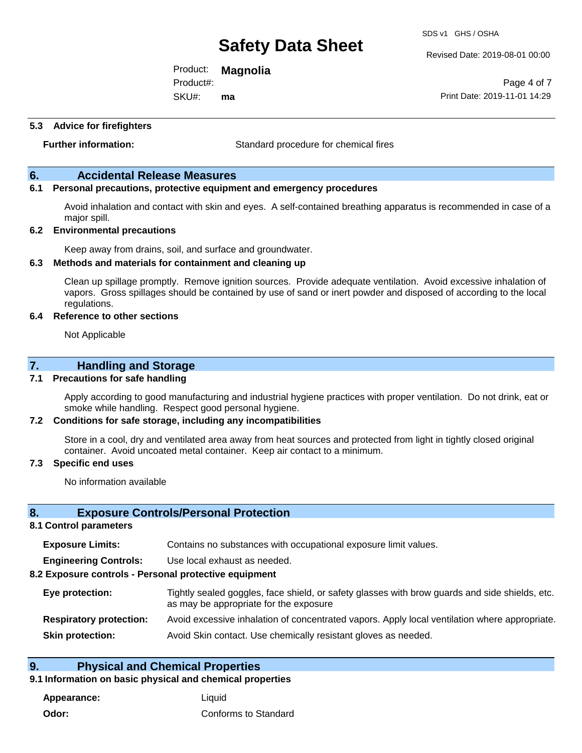Revised Date: 2019-08-01 00:00

Product: **Magnolia** SKU#: Product#: **ma**

Page 4 of 7 Print Date: 2019-11-01 14:29

#### **5.3 Advice for firefighters**

**Further information:** Standard procedure for chemical fires

#### **6. Accidental Release Measures**

#### **6.1 Personal precautions, protective equipment and emergency procedures**

Avoid inhalation and contact with skin and eyes. A self-contained breathing apparatus is recommended in case of a major spill.

#### **6.2 Environmental precautions**

Keep away from drains, soil, and surface and groundwater.

#### **6.3 Methods and materials for containment and cleaning up**

Clean up spillage promptly. Remove ignition sources. Provide adequate ventilation. Avoid excessive inhalation of vapors. Gross spillages should be contained by use of sand or inert powder and disposed of according to the local regulations.

#### **6.4 Reference to other sections**

Not Applicable

#### **7. Handling and Storage**

#### **7.1 Precautions for safe handling**

Apply according to good manufacturing and industrial hygiene practices with proper ventilation. Do not drink, eat or smoke while handling. Respect good personal hygiene.

#### **7.2 Conditions for safe storage, including any incompatibilities**

Store in a cool, dry and ventilated area away from heat sources and protected from light in tightly closed original container. Avoid uncoated metal container. Keep air contact to a minimum.

#### **7.3 Specific end uses**

No information available

#### **8. Exposure Controls/Personal Protection**

#### **8.1 Control parameters**

| <b>Exposure Limits:</b> | Contains no substances with occupational exposure limit values. |  |  |
|-------------------------|-----------------------------------------------------------------|--|--|
|-------------------------|-----------------------------------------------------------------|--|--|

**Engineering Controls:** Use local exhaust as needed.

#### **8.2 Exposure controls - Personal protective equipment**

| Eye protection:                | Tightly sealed goggles, face shield, or safety glasses with brow guards and side shields, etc.<br>as may be appropriate for the exposure |
|--------------------------------|------------------------------------------------------------------------------------------------------------------------------------------|
| <b>Respiratory protection:</b> | Avoid excessive inhalation of concentrated vapors. Apply local ventilation where appropriate.                                            |
| <b>Skin protection:</b>        | Avoid Skin contact. Use chemically resistant gloves as needed.                                                                           |

#### **9. Physical and Chemical Properties**

#### **9.1 Information on basic physical and chemical properties**

**Appearance:** Liquid **Odor:** Conforms to Standard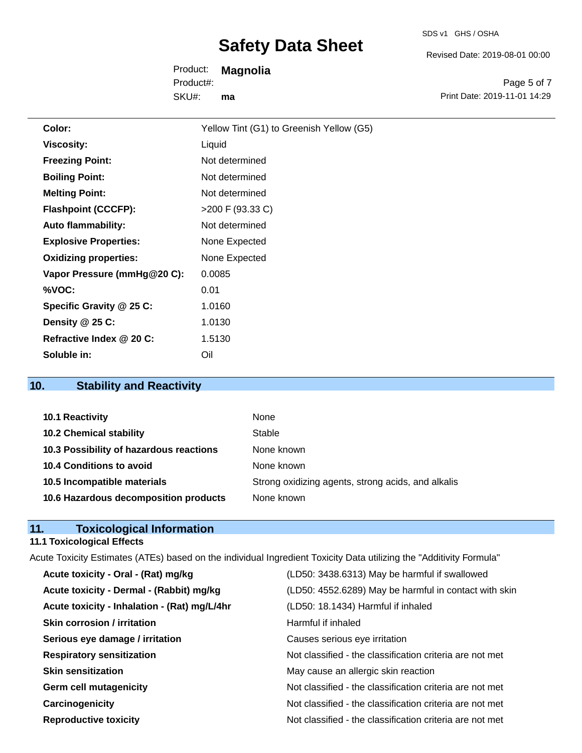Revised Date: 2019-08-01 00:00

Product: **Magnolia** SKU#: Product#: **ma**

Page 5 of 7 Print Date: 2019-11-01 14:29

| Color:                       | Yellow Tint (G1) to Greenish Yellow (G5) |
|------------------------------|------------------------------------------|
| <b>Viscosity:</b>            | Liquid                                   |
| <b>Freezing Point:</b>       | Not determined                           |
| <b>Boiling Point:</b>        | Not determined                           |
| <b>Melting Point:</b>        | Not determined                           |
| <b>Flashpoint (CCCFP):</b>   | >200 F (93.33 C)                         |
| <b>Auto flammability:</b>    | Not determined                           |
| <b>Explosive Properties:</b> | None Expected                            |
| <b>Oxidizing properties:</b> | None Expected                            |
| Vapor Pressure (mmHg@20 C):  | 0.0085                                   |
| %VOC:                        | 0.01                                     |
| Specific Gravity @ 25 C:     | 1.0160                                   |
| Density $@25C$ :             | 1.0130                                   |
| Refractive Index @ 20 C:     | 1.5130                                   |
| Soluble in:                  | Oil                                      |

## **10. Stability and Reactivity**

| 10.1 Reactivity                         | None                                               |
|-----------------------------------------|----------------------------------------------------|
| <b>10.2 Chemical stability</b>          | Stable                                             |
| 10.3 Possibility of hazardous reactions | None known                                         |
| 10.4 Conditions to avoid                | None known                                         |
| 10.5 Incompatible materials             | Strong oxidizing agents, strong acids, and alkalis |
| 10.6 Hazardous decomposition products   | None known                                         |

### **11. Toxicological Information**

### **11.1 Toxicological Effects**

| Acute Toxicity Estimates (ATEs) based on the individual Ingredient Toxicity Data utilizing the "Additivity Formula" |                                              |                                                          |
|---------------------------------------------------------------------------------------------------------------------|----------------------------------------------|----------------------------------------------------------|
|                                                                                                                     | Acute toxicity - Oral - (Rat) mg/kg          | (LD50: 3438.6313) May be harmful if swallowed            |
|                                                                                                                     | Acute toxicity - Dermal - (Rabbit) mg/kg     | (LD50: 4552.6289) May be harmful in contact with skin    |
|                                                                                                                     | Acute toxicity - Inhalation - (Rat) mg/L/4hr | (LD50: 18.1434) Harmful if inhaled                       |
|                                                                                                                     | <b>Skin corrosion / irritation</b>           | Harmful if inhaled                                       |
|                                                                                                                     | Serious eye damage / irritation              | Causes serious eye irritation                            |
|                                                                                                                     | <b>Respiratory sensitization</b>             | Not classified - the classification criteria are not met |
|                                                                                                                     | <b>Skin sensitization</b>                    | May cause an allergic skin reaction                      |
|                                                                                                                     | <b>Germ cell mutagenicity</b>                | Not classified - the classification criteria are not met |
|                                                                                                                     | Carcinogenicity                              | Not classified - the classification criteria are not met |
|                                                                                                                     | <b>Reproductive toxicity</b>                 | Not classified - the classification criteria are not met |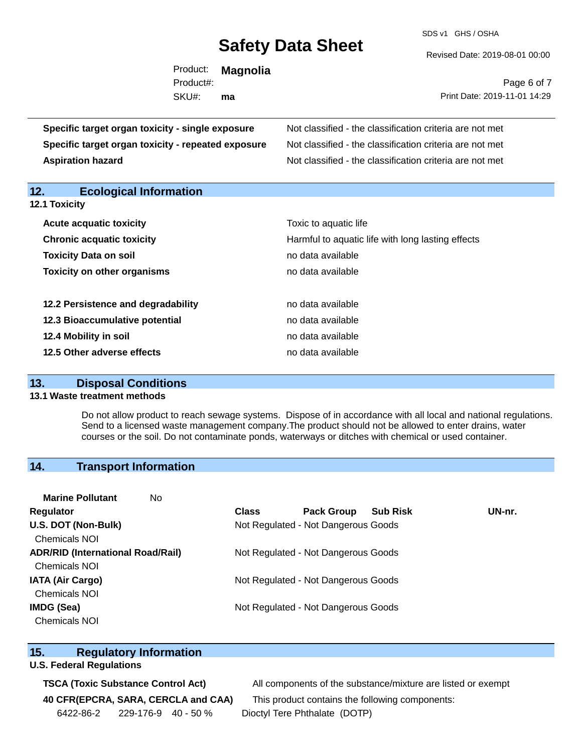SDS v1 GHS / OSHA

Revised Date: 2019-08-01 00:00

|                                                    | Product: | <b>Magnolia</b><br>Product#: |                                                          | Page 6 of 7 |
|----------------------------------------------------|----------|------------------------------|----------------------------------------------------------|-------------|
|                                                    | SKU#:    | ma                           | Print Date: 2019-11-01 14:29                             |             |
| Specific target organ toxicity - single exposure   |          |                              | Not classified - the classification criteria are not met |             |
| Specific target organ toxicity - repeated exposure |          |                              | Not classified - the classification criteria are not met |             |
| <b>Aspiration hazard</b>                           |          |                              | Not classified - the classification criteria are not met |             |
| 12.<br><b>Ecological Information</b>               |          |                              |                                                          |             |
| <b>12.1 Toxicity</b>                               |          |                              |                                                          |             |

| <b>Acute acquatic toxicity</b>     | Toxic to aquatic life                             |
|------------------------------------|---------------------------------------------------|
| <b>Chronic acquatic toxicity</b>   | Harmful to aquatic life with long lasting effects |
| <b>Toxicity Data on soil</b>       | no data available                                 |
| <b>Toxicity on other organisms</b> | no data available                                 |
|                                    |                                                   |
| 12.2 Persistence and degradability | no data available                                 |
| 12.3 Bioaccumulative potential     | no data available                                 |
| 12.4 Mobility in soil              | no data available                                 |
| 12.5 Other adverse effects         | no data available                                 |

#### **13. Disposal Conditions**

### **13.1 Waste treatment methods**

Do not allow product to reach sewage systems. Dispose of in accordance with all local and national regulations. Send to a licensed waste management company.The product should not be allowed to enter drains, water courses or the soil. Do not contaminate ponds, waterways or ditches with chemical or used container.

### **14. Transport Information**

| <b>Marine Pollutant</b>                  | No. |                                     |                                     |                 |        |
|------------------------------------------|-----|-------------------------------------|-------------------------------------|-----------------|--------|
| Regulator                                |     | <b>Class</b>                        | <b>Pack Group</b>                   | <b>Sub Risk</b> | UN-nr. |
| U.S. DOT (Non-Bulk)                      |     | Not Regulated - Not Dangerous Goods |                                     |                 |        |
| <b>Chemicals NOI</b>                     |     |                                     |                                     |                 |        |
| <b>ADR/RID (International Road/Rail)</b> |     | Not Regulated - Not Dangerous Goods |                                     |                 |        |
| <b>Chemicals NOI</b>                     |     |                                     |                                     |                 |        |
| <b>IATA (Air Cargo)</b>                  |     | Not Regulated - Not Dangerous Goods |                                     |                 |        |
| <b>Chemicals NOI</b>                     |     |                                     |                                     |                 |        |
| <b>IMDG (Sea)</b>                        |     |                                     | Not Regulated - Not Dangerous Goods |                 |        |
| <b>Chemicals NOI</b>                     |     |                                     |                                     |                 |        |

#### **15. Regulatory Information**

#### **U.S. Federal Regulations**

**40 CFR(EPCRA, SARA, CERCLA and CAA)** This product contains the following components: 6422-86-2 229-176-9 40 - 50 % Dioctyl Tere Phthalate (DOTP)

**TSCA (Toxic Substance Control Act)** All components of the substance/mixture are listed or exempt